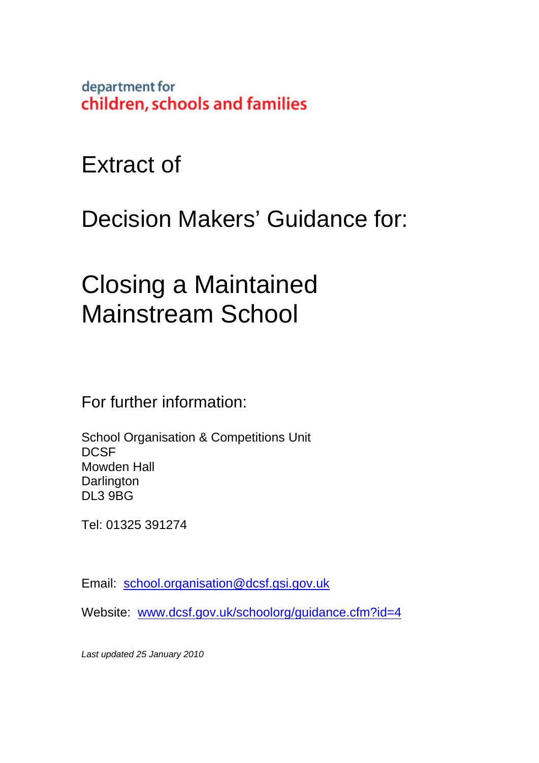department for children, schools and families

Extract of

Decision Makers' Guidance for:

# Closing a Maintained Mainstream School

For further information:

School Organisation & Competitions Unit **DCSF** Mowden Hall **Darlington** DL3 9BG

Tel: 01325 391274

Email: school.organisation@dcsf.gsi.gov.uk

Website: www.dcsf.gov.uk/schoolorg/guidance.cfm?id=4

*Last updated 25 January 2010*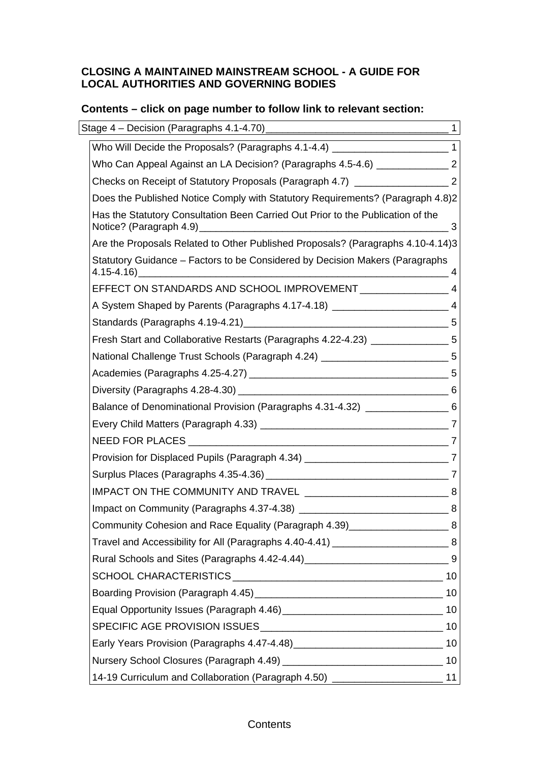#### **CLOSING A MAINTAINED MAINSTREAM SCHOOL - A GUIDE FOR LOCAL AUTHORITIES AND GOVERNING BODIES**

# **Contents – click on page number to follow link to relevant section:**

| Stage 4 - Decision (Paragraphs 4.1-4.70) [2010] [2020] [2020] [2020] [2020] [2020] [2020] [2020] [2020] [2020] | $\mathbf{1}$ |
|----------------------------------------------------------------------------------------------------------------|--------------|
| Who Will Decide the Proposals? (Paragraphs 4.1-4.4) __________________________1                                |              |
| Who Can Appeal Against an LA Decision? (Paragraphs 4.5-4.6) _________________2                                 |              |
| Checks on Receipt of Statutory Proposals (Paragraph 4.7) ______________________2                               |              |
| Does the Published Notice Comply with Statutory Requirements? (Paragraph 4.8)2                                 |              |
| Has the Statutory Consultation Been Carried Out Prior to the Publication of the                                | 3            |
| Are the Proposals Related to Other Published Proposals? (Paragraphs 4.10-4.14)3                                |              |
| Statutory Guidance - Factors to be Considered by Decision Makers (Paragraphs                                   | 4            |
|                                                                                                                |              |
| A System Shaped by Parents (Paragraphs 4.17-4.18) _______________________________ 4                            |              |
|                                                                                                                |              |
| Fresh Start and Collaborative Restarts (Paragraphs 4.22-4.23) ________________5                                |              |
| National Challenge Trust Schools (Paragraph 4.24) _________________________5                                   |              |
|                                                                                                                |              |
|                                                                                                                |              |
| Balance of Denominational Provision (Paragraphs 4.31-4.32) ____________________6                               |              |
|                                                                                                                |              |
|                                                                                                                |              |
| Provision for Displaced Pupils (Paragraph 4.34) _______________________________7                               |              |
|                                                                                                                |              |
|                                                                                                                |              |
|                                                                                                                |              |
| Community Cohesion and Race Equality (Paragraph 4.39)________________________8                                 |              |
| Travel and Accessibility for All (Paragraphs 4.40-4.41) _________________________8                             |              |
|                                                                                                                |              |
|                                                                                                                |              |
|                                                                                                                |              |
|                                                                                                                |              |
|                                                                                                                |              |
|                                                                                                                |              |
|                                                                                                                |              |
| 14-19 Curriculum and Collaboration (Paragraph 4.50) __________________________11                               |              |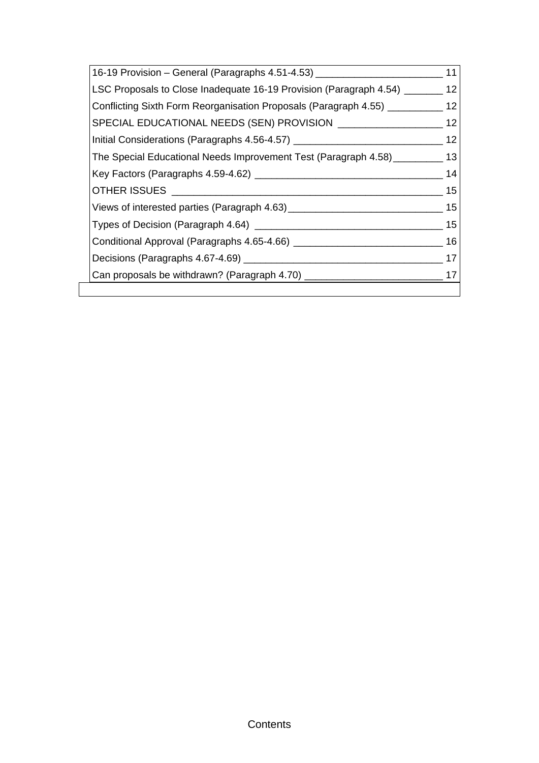| 16-19 Provision - General (Paragraphs 4.51-4.53) _______________________________    | 11   |
|-------------------------------------------------------------------------------------|------|
| LSC Proposals to Close Inadequate 16-19 Provision (Paragraph 4.54) ________ 12      |      |
| Conflicting Sixth Form Reorganisation Proposals (Paragraph 4.55) ___________ 12     |      |
| SPECIAL EDUCATIONAL NEEDS (SEN) PROVISION ______________________ 12                 |      |
| Initial Considerations (Paragraphs 4.56-4.57) __________________________________    | -12  |
| The Special Educational Needs Improvement Test (Paragraph 4.58) ___________ 13      |      |
|                                                                                     | 14   |
|                                                                                     | 15   |
|                                                                                     |      |
|                                                                                     | - 15 |
|                                                                                     |      |
|                                                                                     |      |
| Can proposals be withdrawn? (Paragraph 4.70) ___________________________________ 17 |      |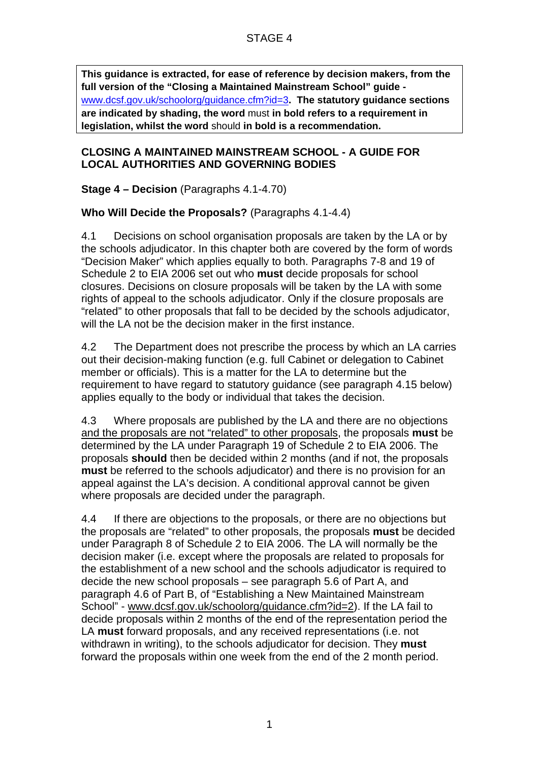**This guidance is extracted, for ease of reference by decision makers, from the full version of the "Closing a Maintained Mainstream School" guide**  www.dcsf.gov.uk/schoolorg/guidance.cfm?id=3**. The statutory guidance sections are indicated by shading, the word** must **in bold refers to a requirement in legislation, whilst the word** should **in bold is a recommendation.** 

#### **CLOSING A MAINTAINED MAINSTREAM SCHOOL - A GUIDE FOR LOCAL AUTHORITIES AND GOVERNING BODIES**

**Stage 4 – Decision** (Paragraphs 4.1-4.70)

## **Who Will Decide the Proposals?** (Paragraphs 4.1-4.4)

4.1 Decisions on school organisation proposals are taken by the LA or by the schools adjudicator. In this chapter both are covered by the form of words "Decision Maker" which applies equally to both. Paragraphs 7-8 and 19 of Schedule 2 to EIA 2006 set out who **must** decide proposals for school closures. Decisions on closure proposals will be taken by the LA with some rights of appeal to the schools adjudicator. Only if the closure proposals are "related" to other proposals that fall to be decided by the schools adjudicator, will the LA not be the decision maker in the first instance.

4.2 The Department does not prescribe the process by which an LA carries out their decision-making function (e.g. full Cabinet or delegation to Cabinet member or officials). This is a matter for the LA to determine but the requirement to have regard to statutory guidance (see paragraph 4.15 below) applies equally to the body or individual that takes the decision.

4.3 Where proposals are published by the LA and there are no objections and the proposals are not "related" to other proposals, the proposals **must** be determined by the LA under Paragraph 19 of Schedule 2 to EIA 2006. The proposals **should** then be decided within 2 months (and if not, the proposals **must** be referred to the schools adjudicator) and there is no provision for an appeal against the LA's decision. A conditional approval cannot be given where proposals are decided under the paragraph.

4.4 If there are objections to the proposals, or there are no objections but the proposals are "related" to other proposals, the proposals **must** be decided under Paragraph 8 of Schedule 2 to EIA 2006. The LA will normally be the decision maker (i.e. except where the proposals are related to proposals for the establishment of a new school and the schools adjudicator is required to decide the new school proposals – see paragraph 5.6 of Part A, and paragraph 4.6 of Part B, of "Establishing a New Maintained Mainstream School" - www.dcsf.gov.uk/schoolorg/guidance.cfm?id=2). If the LA fail to decide proposals within 2 months of the end of the representation period the LA **must** forward proposals, and any received representations (i.e. not withdrawn in writing), to the schools adjudicator for decision. They **must** forward the proposals within one week from the end of the 2 month period.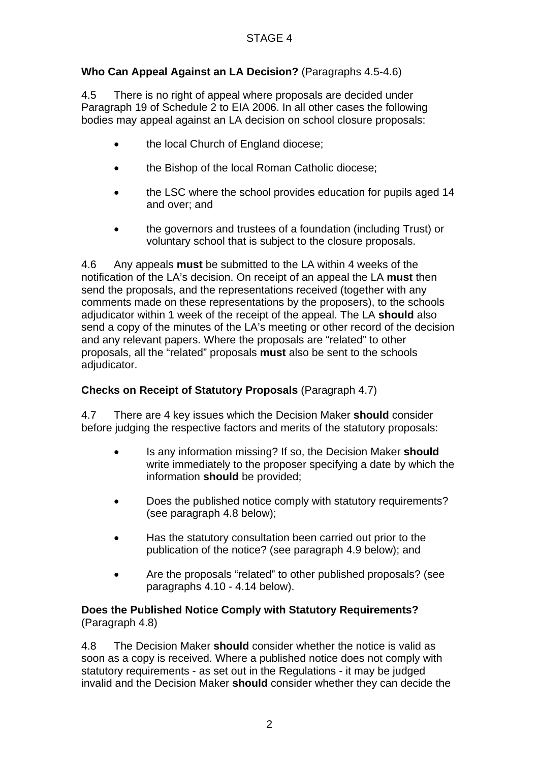# **Who Can Appeal Against an LA Decision?** (Paragraphs 4.5-4.6)

4.5 There is no right of appeal where proposals are decided under Paragraph 19 of Schedule 2 to EIA 2006. In all other cases the following bodies may appeal against an LA decision on school closure proposals:

- the local Church of England diocese;
- the Bishop of the local Roman Catholic diocese;
- the LSC where the school provides education for pupils aged 14 and over; and
- the governors and trustees of a foundation (including Trust) or voluntary school that is subject to the closure proposals.

4.6 Any appeals **must** be submitted to the LA within 4 weeks of the notification of the LA's decision. On receipt of an appeal the LA **must** then send the proposals, and the representations received (together with any comments made on these representations by the proposers), to the schools adjudicator within 1 week of the receipt of the appeal. The LA **should** also send a copy of the minutes of the LA's meeting or other record of the decision and any relevant papers. Where the proposals are "related" to other proposals, all the "related" proposals **must** also be sent to the schools adjudicator.

## **Checks on Receipt of Statutory Proposals** (Paragraph 4.7)

4.7 There are 4 key issues which the Decision Maker **should** consider before judging the respective factors and merits of the statutory proposals:

- Is any information missing? If so, the Decision Maker **should** write immediately to the proposer specifying a date by which the information **should** be provided;
- Does the published notice comply with statutory requirements? (see paragraph 4.8 below);
- Has the statutory consultation been carried out prior to the publication of the notice? (see paragraph 4.9 below); and
- Are the proposals "related" to other published proposals? (see paragraphs 4.10 - 4.14 below).

#### **Does the Published Notice Comply with Statutory Requirements?**  (Paragraph 4.8)

4.8 The Decision Maker **should** consider whether the notice is valid as soon as a copy is received. Where a published notice does not comply with statutory requirements - as set out in the Regulations - it may be judged invalid and the Decision Maker **should** consider whether they can decide the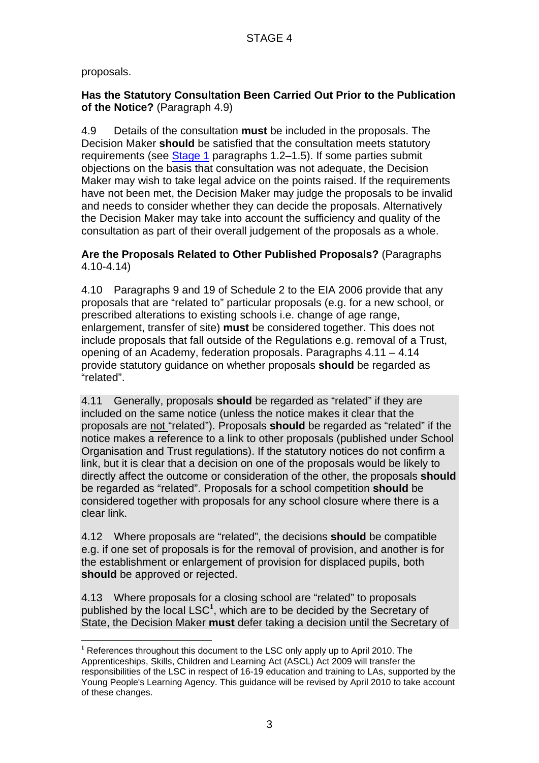proposals.

l

## **Has the Statutory Consultation Been Carried Out Prior to the Publication of the Notice?** (Paragraph 4.9)

4.9 Details of the consultation **must** be included in the proposals. The Decision Maker **should** be satisfied that the consultation meets statutory requirements (see Stage 1 paragraphs 1.2–1.5). If some parties submit objections on the basis that consultation was not adequate, the Decision Maker may wish to take legal advice on the points raised. If the requirements have not been met, the Decision Maker may judge the proposals to be invalid and needs to consider whether they can decide the proposals. Alternatively the Decision Maker may take into account the sufficiency and quality of the consultation as part of their overall judgement of the proposals as a whole.

#### **Are the Proposals Related to Other Published Proposals?** (Paragraphs 4.10-4.14)

4.10 Paragraphs 9 and 19 of Schedule 2 to the EIA 2006 provide that any proposals that are "related to" particular proposals (e.g. for a new school, or prescribed alterations to existing schools i.e. change of age range, enlargement, transfer of site) **must** be considered together. This does not include proposals that fall outside of the Regulations e.g. removal of a Trust, opening of an Academy, federation proposals. Paragraphs 4.11 – 4.14 provide statutory guidance on whether proposals **should** be regarded as "related".

4.11 Generally, proposals **should** be regarded as "related" if they are included on the same notice (unless the notice makes it clear that the proposals are not "related"). Proposals **should** be regarded as "related" if the notice makes a reference to a link to other proposals (published under School Organisation and Trust regulations). If the statutory notices do not confirm a link, but it is clear that a decision on one of the proposals would be likely to directly affect the outcome or consideration of the other, the proposals **should** be regarded as "related". Proposals for a school competition **should** be considered together with proposals for any school closure where there is a clear link.

4.12 Where proposals are "related", the decisions **should** be compatible e.g. if one set of proposals is for the removal of provision, and another is for the establishment or enlargement of provision for displaced pupils, both **should** be approved or rejected.

4.13 Where proposals for a closing school are "related" to proposals published by the local LSC**<sup>1</sup>** , which are to be decided by the Secretary of State, the Decision Maker **must** defer taking a decision until the Secretary of

**<sup>1</sup>** References throughout this document to the LSC only apply up to April 2010. The Apprenticeships, Skills, Children and Learning Act (ASCL) Act 2009 will transfer the responsibilities of the LSC in respect of 16-19 education and training to LAs, supported by the Young People's Learning Agency. This guidance will be revised by April 2010 to take account of these changes.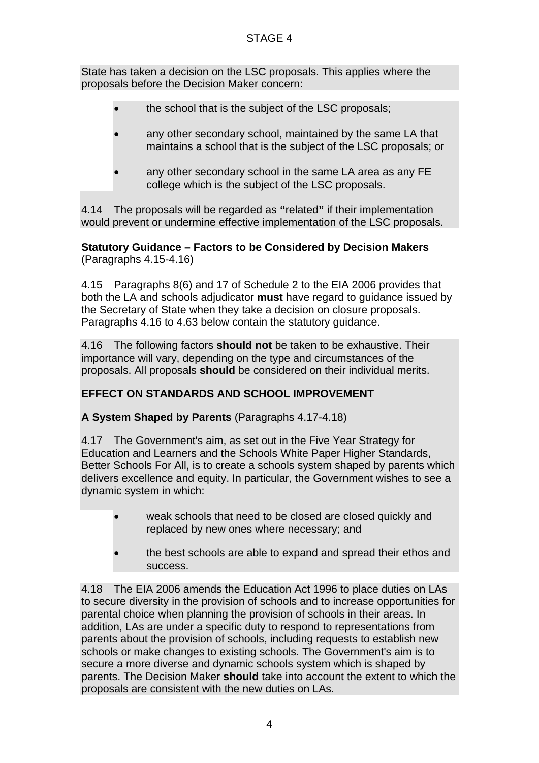State has taken a decision on the LSC proposals. This applies where the proposals before the Decision Maker concern:

- the school that is the subject of the LSC proposals;
- any other secondary school, maintained by the same LA that maintains a school that is the subject of the LSC proposals; or
- any other secondary school in the same LA area as any FE college which is the subject of the LSC proposals.

4.14 The proposals will be regarded as **"**related**"** if their implementation would prevent or undermine effective implementation of the LSC proposals.

**Statutory Guidance – Factors to be Considered by Decision Makers**  (Paragraphs 4.15-4.16)

4.15 Paragraphs 8(6) and 17 of Schedule 2 to the EIA 2006 provides that both the LA and schools adjudicator **must** have regard to guidance issued by the Secretary of State when they take a decision on closure proposals. Paragraphs 4.16 to 4.63 below contain the statutory guidance.

4.16 The following factors **should not** be taken to be exhaustive. Their importance will vary, depending on the type and circumstances of the proposals. All proposals **should** be considered on their individual merits.

## **EFFECT ON STANDARDS AND SCHOOL IMPROVEMENT**

**A System Shaped by Parents** (Paragraphs 4.17-4.18)

4.17 The Government's aim, as set out in the Five Year Strategy for Education and Learners and the Schools White Paper Higher Standards, Better Schools For All, is to create a schools system shaped by parents which delivers excellence and equity. In particular, the Government wishes to see a dynamic system in which:

- weak schools that need to be closed are closed quickly and replaced by new ones where necessary; and
- the best schools are able to expand and spread their ethos and success.

4.18 The EIA 2006 amends the Education Act 1996 to place duties on LAs to secure diversity in the provision of schools and to increase opportunities for parental choice when planning the provision of schools in their areas. In addition, LAs are under a specific duty to respond to representations from parents about the provision of schools, including requests to establish new schools or make changes to existing schools. The Government's aim is to secure a more diverse and dynamic schools system which is shaped by parents. The Decision Maker **should** take into account the extent to which the proposals are consistent with the new duties on LAs.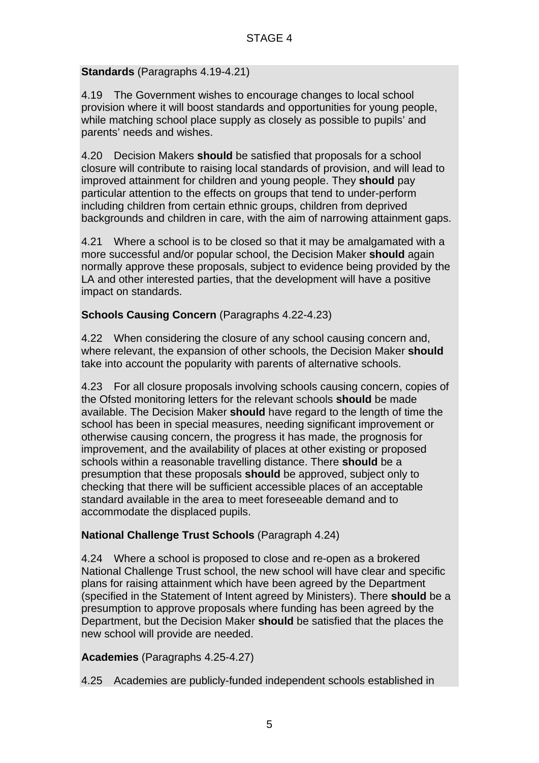## **Standards** (Paragraphs 4.19-4.21)

4.19 The Government wishes to encourage changes to local school provision where it will boost standards and opportunities for young people, while matching school place supply as closely as possible to pupils' and parents' needs and wishes.

4.20 Decision Makers **should** be satisfied that proposals for a school closure will contribute to raising local standards of provision, and will lead to improved attainment for children and young people. They **should** pay particular attention to the effects on groups that tend to under-perform including children from certain ethnic groups, children from deprived backgrounds and children in care, with the aim of narrowing attainment gaps.

4.21 Where a school is to be closed so that it may be amalgamated with a more successful and/or popular school, the Decision Maker **should** again normally approve these proposals, subject to evidence being provided by the LA and other interested parties, that the development will have a positive impact on standards.

## **Schools Causing Concern** (Paragraphs 4.22-4.23)

4.22 When considering the closure of any school causing concern and, where relevant, the expansion of other schools, the Decision Maker **should** take into account the popularity with parents of alternative schools.

4.23 For all closure proposals involving schools causing concern, copies of the Ofsted monitoring letters for the relevant schools **should** be made available. The Decision Maker **should** have regard to the length of time the school has been in special measures, needing significant improvement or otherwise causing concern, the progress it has made, the prognosis for improvement, and the availability of places at other existing or proposed schools within a reasonable travelling distance. There **should** be a presumption that these proposals **should** be approved, subject only to checking that there will be sufficient accessible places of an acceptable standard available in the area to meet foreseeable demand and to accommodate the displaced pupils.

## **National Challenge Trust Schools** (Paragraph 4.24)

4.24 Where a school is proposed to close and re-open as a brokered National Challenge Trust school, the new school will have clear and specific plans for raising attainment which have been agreed by the Department (specified in the Statement of Intent agreed by Ministers). There **should** be a presumption to approve proposals where funding has been agreed by the Department, but the Decision Maker **should** be satisfied that the places the new school will provide are needed.

**Academies** (Paragraphs 4.25-4.27)

4.25 Academies are publicly-funded independent schools established in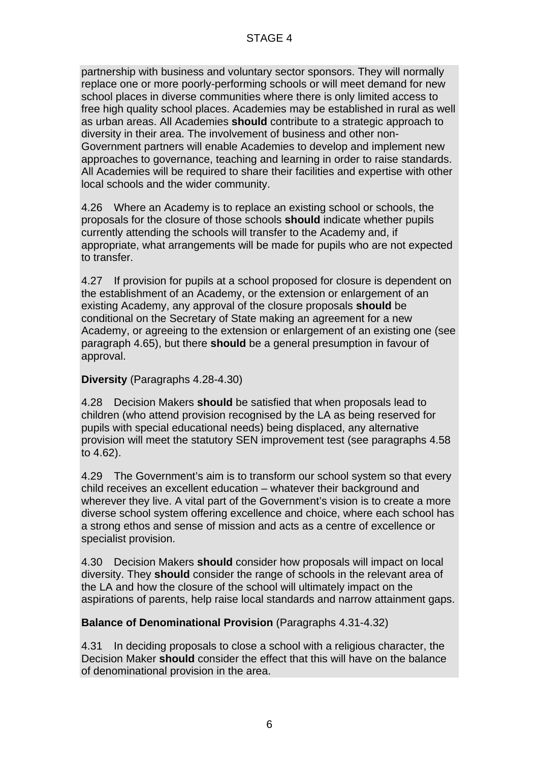partnership with business and voluntary sector sponsors. They will normally replace one or more poorly-performing schools or will meet demand for new school places in diverse communities where there is only limited access to free high quality school places. Academies may be established in rural as well as urban areas. All Academies **should** contribute to a strategic approach to diversity in their area. The involvement of business and other non-Government partners will enable Academies to develop and implement new approaches to governance, teaching and learning in order to raise standards. All Academies will be required to share their facilities and expertise with other local schools and the wider community.

4.26 Where an Academy is to replace an existing school or schools, the proposals for the closure of those schools **should** indicate whether pupils currently attending the schools will transfer to the Academy and, if appropriate, what arrangements will be made for pupils who are not expected to transfer.

4.27 If provision for pupils at a school proposed for closure is dependent on the establishment of an Academy, or the extension or enlargement of an existing Academy, any approval of the closure proposals **should** be conditional on the Secretary of State making an agreement for a new Academy, or agreeing to the extension or enlargement of an existing one (see paragraph 4.65), but there **should** be a general presumption in favour of approval.

#### **Diversity** (Paragraphs 4.28-4.30)

4.28 Decision Makers **should** be satisfied that when proposals lead to children (who attend provision recognised by the LA as being reserved for pupils with special educational needs) being displaced, any alternative provision will meet the statutory SEN improvement test (see paragraphs 4.58 to 4.62).

4.29 The Government's aim is to transform our school system so that every child receives an excellent education – whatever their background and wherever they live. A vital part of the Government's vision is to create a more diverse school system offering excellence and choice, where each school has a strong ethos and sense of mission and acts as a centre of excellence or specialist provision.

4.30 Decision Makers **should** consider how proposals will impact on local diversity. They **should** consider the range of schools in the relevant area of the LA and how the closure of the school will ultimately impact on the aspirations of parents, help raise local standards and narrow attainment gaps.

#### **Balance of Denominational Provision** (Paragraphs 4.31-4.32)

4.31 In deciding proposals to close a school with a religious character, the Decision Maker **should** consider the effect that this will have on the balance of denominational provision in the area.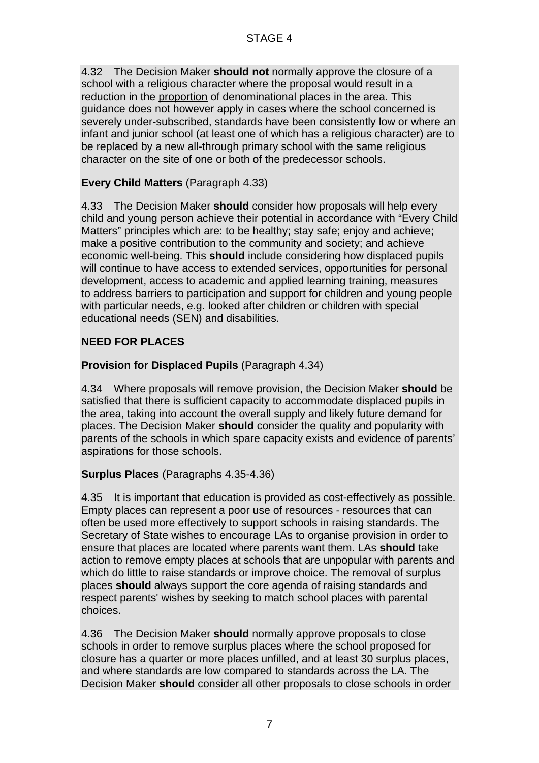4.32 The Decision Maker **should not** normally approve the closure of a school with a religious character where the proposal would result in a reduction in the proportion of denominational places in the area. This guidance does not however apply in cases where the school concerned is severely under-subscribed, standards have been consistently low or where an infant and junior school (at least one of which has a religious character) are to be replaced by a new all-through primary school with the same religious character on the site of one or both of the predecessor schools.

## **Every Child Matters** (Paragraph 4.33)

4.33 The Decision Maker **should** consider how proposals will help every child and young person achieve their potential in accordance with "Every Child Matters" principles which are: to be healthy; stay safe; enjoy and achieve; make a positive contribution to the community and society; and achieve economic well-being. This **should** include considering how displaced pupils will continue to have access to extended services, opportunities for personal development, access to academic and applied learning training, measures to address barriers to participation and support for children and young people with particular needs, e.g. looked after children or children with special educational needs (SEN) and disabilities.

## **NEED FOR PLACES**

## **Provision for Displaced Pupils** (Paragraph 4.34)

4.34 Where proposals will remove provision, the Decision Maker **should** be satisfied that there is sufficient capacity to accommodate displaced pupils in the area, taking into account the overall supply and likely future demand for places. The Decision Maker **should** consider the quality and popularity with parents of the schools in which spare capacity exists and evidence of parents' aspirations for those schools.

## **Surplus Places** (Paragraphs 4.35-4.36)

4.35 It is important that education is provided as cost-effectively as possible. Empty places can represent a poor use of resources - resources that can often be used more effectively to support schools in raising standards. The Secretary of State wishes to encourage LAs to organise provision in order to ensure that places are located where parents want them. LAs **should** take action to remove empty places at schools that are unpopular with parents and which do little to raise standards or improve choice. The removal of surplus places **should** always support the core agenda of raising standards and respect parents' wishes by seeking to match school places with parental choices.

4.36 The Decision Maker **should** normally approve proposals to close schools in order to remove surplus places where the school proposed for closure has a quarter or more places unfilled, and at least 30 surplus places, and where standards are low compared to standards across the LA. The Decision Maker **should** consider all other proposals to close schools in order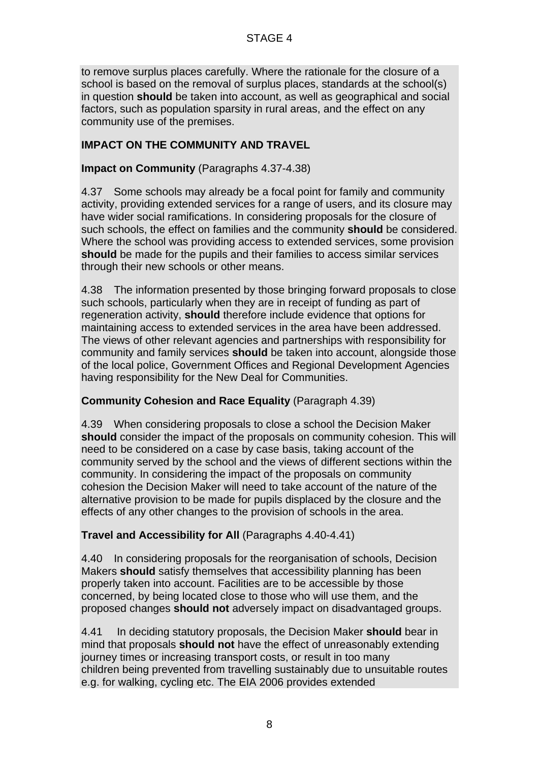to remove surplus places carefully. Where the rationale for the closure of a school is based on the removal of surplus places, standards at the school(s) in question **should** be taken into account, as well as geographical and social factors, such as population sparsity in rural areas, and the effect on any community use of the premises.

## **IMPACT ON THE COMMUNITY AND TRAVEL**

#### **Impact on Community** (Paragraphs 4.37-4.38)

4.37 Some schools may already be a focal point for family and community activity, providing extended services for a range of users, and its closure may have wider social ramifications. In considering proposals for the closure of such schools, the effect on families and the community **should** be considered. Where the school was providing access to extended services, some provision **should** be made for the pupils and their families to access similar services through their new schools or other means.

4.38 The information presented by those bringing forward proposals to close such schools, particularly when they are in receipt of funding as part of regeneration activity, **should** therefore include evidence that options for maintaining access to extended services in the area have been addressed. The views of other relevant agencies and partnerships with responsibility for community and family services **should** be taken into account, alongside those of the local police, Government Offices and Regional Development Agencies having responsibility for the New Deal for Communities.

## **Community Cohesion and Race Equality** (Paragraph 4.39)

4.39 When considering proposals to close a school the Decision Maker **should** consider the impact of the proposals on community cohesion. This will need to be considered on a case by case basis, taking account of the community served by the school and the views of different sections within the community. In considering the impact of the proposals on community cohesion the Decision Maker will need to take account of the nature of the alternative provision to be made for pupils displaced by the closure and the effects of any other changes to the provision of schools in the area.

## **Travel and Accessibility for All** (Paragraphs 4.40-4.41)

4.40 In considering proposals for the reorganisation of schools, Decision Makers **should** satisfy themselves that accessibility planning has been properly taken into account. Facilities are to be accessible by those concerned, by being located close to those who will use them, and the proposed changes **should not** adversely impact on disadvantaged groups.

4.41 In deciding statutory proposals, the Decision Maker **should** bear in mind that proposals **should not** have the effect of unreasonably extending journey times or increasing transport costs, or result in too many children being prevented from travelling sustainably due to unsuitable routes e.g. for walking, cycling etc. The EIA 2006 provides extended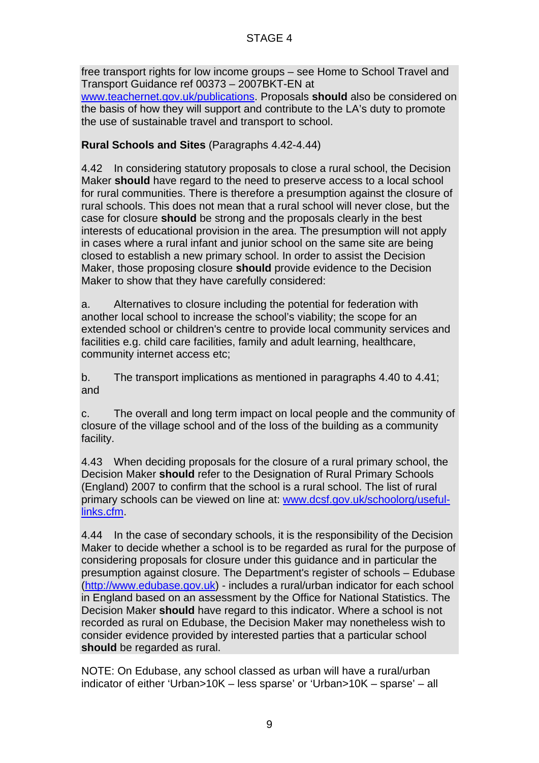free transport rights for low income groups – see Home to School Travel and Transport Guidance ref 00373 – 2007BKT-EN at www.teachernet.gov.uk/publications. Proposals **should** also be considered on the basis of how they will support and contribute to the LA's duty to promote the use of sustainable travel and transport to school.

## **Rural Schools and Sites** (Paragraphs 4.42-4.44)

4.42 In considering statutory proposals to close a rural school, the Decision Maker **should** have regard to the need to preserve access to a local school for rural communities. There is therefore a presumption against the closure of rural schools. This does not mean that a rural school will never close, but the case for closure **should** be strong and the proposals clearly in the best interests of educational provision in the area. The presumption will not apply in cases where a rural infant and junior school on the same site are being closed to establish a new primary school. In order to assist the Decision Maker, those proposing closure **should** provide evidence to the Decision Maker to show that they have carefully considered:

a. Alternatives to closure including the potential for federation with another local school to increase the school's viability; the scope for an extended school or children's centre to provide local community services and facilities e.g. child care facilities, family and adult learning, healthcare, community internet access etc;

b. The transport implications as mentioned in paragraphs 4.40 to 4.41; and

c. The overall and long term impact on local people and the community of closure of the village school and of the loss of the building as a community facility.

4.43 When deciding proposals for the closure of a rural primary school, the Decision Maker **should** refer to the Designation of Rural Primary Schools (England) 2007 to confirm that the school is a rural school. The list of rural primary schools can be viewed on line at: www.dcsf.gov.uk/schoolorg/usefullinks.cfm.

4.44 In the case of secondary schools, it is the responsibility of the Decision Maker to decide whether a school is to be regarded as rural for the purpose of considering proposals for closure under this guidance and in particular the presumption against closure. The Department's register of schools – Edubase (http://www.edubase.gov.uk) - includes a rural/urban indicator for each school in England based on an assessment by the Office for National Statistics. The Decision Maker **should** have regard to this indicator. Where a school is not recorded as rural on Edubase, the Decision Maker may nonetheless wish to consider evidence provided by interested parties that a particular school **should** be regarded as rural.

NOTE: On Edubase, any school classed as urban will have a rural/urban indicator of either 'Urban>10K – less sparse' or 'Urban>10K – sparse' – all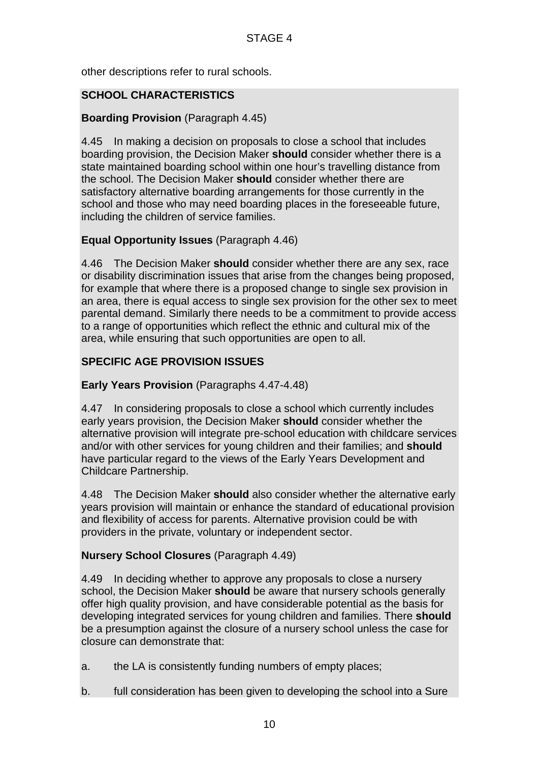other descriptions refer to rural schools.

#### **SCHOOL CHARACTERISTICS**

#### **Boarding Provision** (Paragraph 4.45)

4.45 In making a decision on proposals to close a school that includes boarding provision, the Decision Maker **should** consider whether there is a state maintained boarding school within one hour's travelling distance from the school. The Decision Maker **should** consider whether there are satisfactory alternative boarding arrangements for those currently in the school and those who may need boarding places in the foreseeable future, including the children of service families.

#### **Equal Opportunity Issues** (Paragraph 4.46)

4.46 The Decision Maker **should** consider whether there are any sex, race or disability discrimination issues that arise from the changes being proposed, for example that where there is a proposed change to single sex provision in an area, there is equal access to single sex provision for the other sex to meet parental demand. Similarly there needs to be a commitment to provide access to a range of opportunities which reflect the ethnic and cultural mix of the area, while ensuring that such opportunities are open to all.

## **SPECIFIC AGE PROVISION ISSUES**

#### **Early Years Provision** (Paragraphs 4.47-4.48)

4.47 In considering proposals to close a school which currently includes early years provision, the Decision Maker **should** consider whether the alternative provision will integrate pre-school education with childcare services and/or with other services for young children and their families; and **should** have particular regard to the views of the Early Years Development and Childcare Partnership.

4.48 The Decision Maker **should** also consider whether the alternative early years provision will maintain or enhance the standard of educational provision and flexibility of access for parents. Alternative provision could be with providers in the private, voluntary or independent sector.

## **Nursery School Closures** (Paragraph 4.49)

4.49 In deciding whether to approve any proposals to close a nursery school, the Decision Maker **should** be aware that nursery schools generally offer high quality provision, and have considerable potential as the basis for developing integrated services for young children and families. There **should** be a presumption against the closure of a nursery school unless the case for closure can demonstrate that:

- a. the LA is consistently funding numbers of empty places;
- b. full consideration has been given to developing the school into a Sure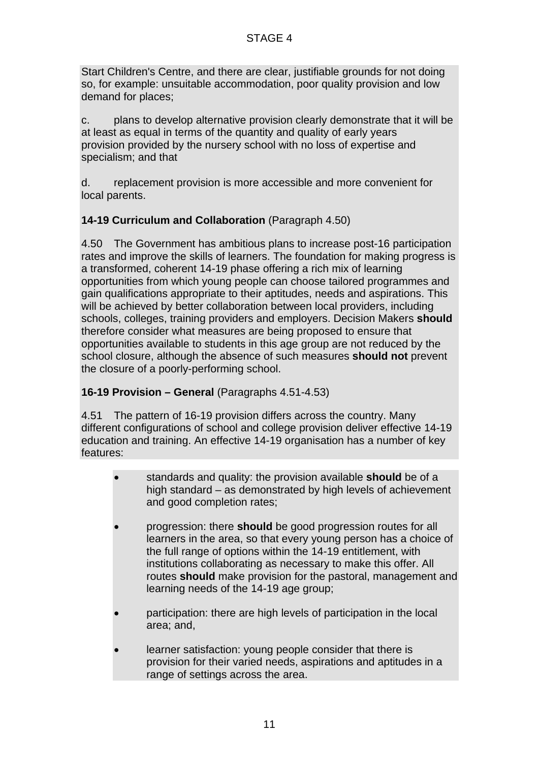Start Children's Centre, and there are clear, justifiable grounds for not doing so, for example: unsuitable accommodation, poor quality provision and low demand for places;

c. plans to develop alternative provision clearly demonstrate that it will be at least as equal in terms of the quantity and quality of early years provision provided by the nursery school with no loss of expertise and specialism; and that

d. replacement provision is more accessible and more convenient for local parents.

## **14-19 Curriculum and Collaboration** (Paragraph 4.50)

4.50 The Government has ambitious plans to increase post-16 participation rates and improve the skills of learners. The foundation for making progress is a transformed, coherent 14-19 phase offering a rich mix of learning opportunities from which young people can choose tailored programmes and gain qualifications appropriate to their aptitudes, needs and aspirations. This will be achieved by better collaboration between local providers, including schools, colleges, training providers and employers. Decision Makers **should** therefore consider what measures are being proposed to ensure that opportunities available to students in this age group are not reduced by the school closure, although the absence of such measures **should not** prevent the closure of a poorly-performing school.

## **16-19 Provision – General** (Paragraphs 4.51-4.53)

4.51 The pattern of 16-19 provision differs across the country. Many different configurations of school and college provision deliver effective 14-19 education and training. An effective 14-19 organisation has a number of key features:

- standards and quality: the provision available **should** be of a high standard – as demonstrated by high levels of achievement and good completion rates;
- progression: there **should** be good progression routes for all learners in the area, so that every young person has a choice of the full range of options within the 14-19 entitlement, with institutions collaborating as necessary to make this offer. All routes **should** make provision for the pastoral, management and learning needs of the 14-19 age group;
- participation: there are high levels of participation in the local area; and,
- learner satisfaction: young people consider that there is provision for their varied needs, aspirations and aptitudes in a range of settings across the area.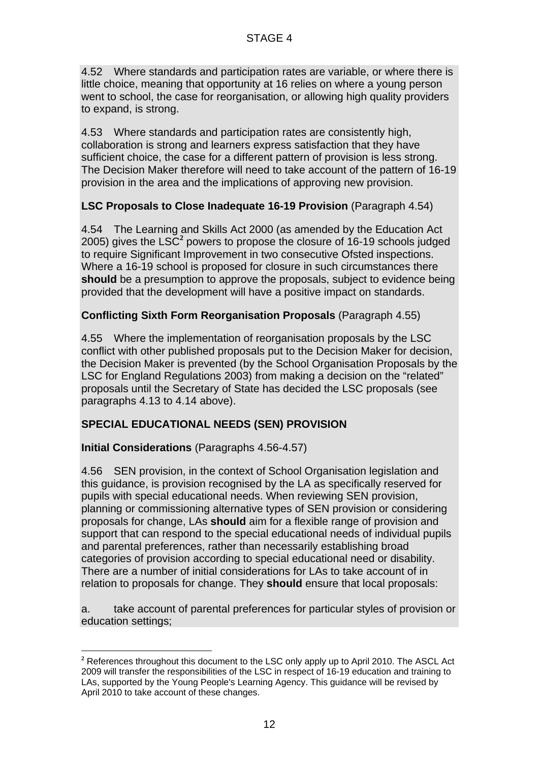4.52 Where standards and participation rates are variable, or where there is little choice, meaning that opportunity at 16 relies on where a young person went to school, the case for reorganisation, or allowing high quality providers to expand, is strong.

4.53 Where standards and participation rates are consistently high, collaboration is strong and learners express satisfaction that they have sufficient choice, the case for a different pattern of provision is less strong. The Decision Maker therefore will need to take account of the pattern of 16-19 provision in the area and the implications of approving new provision.

## **LSC Proposals to Close Inadequate 16-19 Provision** (Paragraph 4.54)

4.54 The Learning and Skills Act 2000 (as amended by the Education Act 2005) gives the LSC<sup>2</sup> powers to propose the closure of  $16-19$  schools judged to require Significant Improvement in two consecutive Ofsted inspections. Where a 16-19 school is proposed for closure in such circumstances there **should** be a presumption to approve the proposals, subject to evidence being provided that the development will have a positive impact on standards.

#### **Conflicting Sixth Form Reorganisation Proposals** (Paragraph 4.55)

4.55 Where the implementation of reorganisation proposals by the LSC conflict with other published proposals put to the Decision Maker for decision, the Decision Maker is prevented (by the School Organisation Proposals by the LSC for England Regulations 2003) from making a decision on the "related" proposals until the Secretary of State has decided the LSC proposals (see paragraphs 4.13 to 4.14 above).

## **SPECIAL EDUCATIONAL NEEDS (SEN) PROVISION**

## **Initial Considerations** (Paragraphs 4.56-4.57)

l

4.56 SEN provision, in the context of School Organisation legislation and this guidance, is provision recognised by the LA as specifically reserved for pupils with special educational needs. When reviewing SEN provision, planning or commissioning alternative types of SEN provision or considering proposals for change, LAs **should** aim for a flexible range of provision and support that can respond to the special educational needs of individual pupils and parental preferences, rather than necessarily establishing broad categories of provision according to special educational need or disability. There are a number of initial considerations for LAs to take account of in relation to proposals for change. They **should** ensure that local proposals:

a. take account of parental preferences for particular styles of provision or education settings;

**<sup>2</sup>** References throughout this document to the LSC only apply up to April 2010. The ASCL Act 2009 will transfer the responsibilities of the LSC in respect of 16-19 education and training to LAs, supported by the Young People's Learning Agency. This guidance will be revised by April 2010 to take account of these changes.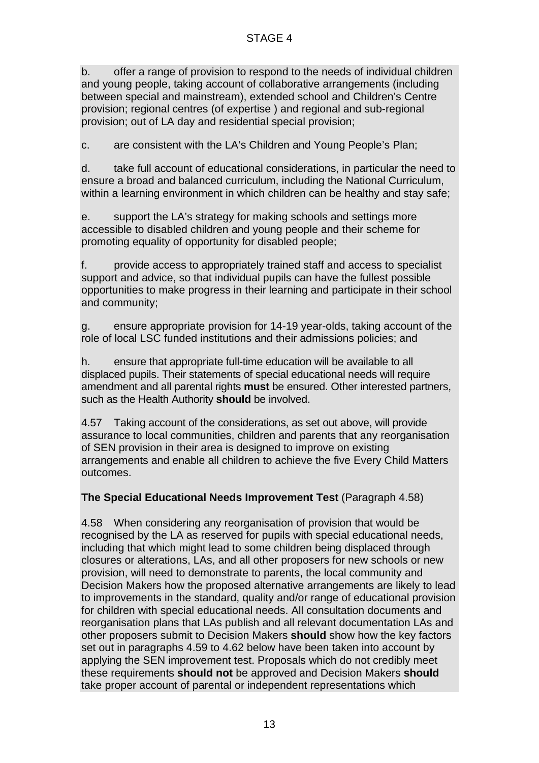b. offer a range of provision to respond to the needs of individual children and young people, taking account of collaborative arrangements (including between special and mainstream), extended school and Children's Centre provision; regional centres (of expertise ) and regional and sub-regional provision; out of LA day and residential special provision;

c. are consistent with the LA's Children and Young People's Plan;

d. take full account of educational considerations, in particular the need to ensure a broad and balanced curriculum, including the National Curriculum, within a learning environment in which children can be healthy and stay safe;

e. support the LA's strategy for making schools and settings more accessible to disabled children and young people and their scheme for promoting equality of opportunity for disabled people;

f. provide access to appropriately trained staff and access to specialist support and advice, so that individual pupils can have the fullest possible opportunities to make progress in their learning and participate in their school and community;

g. ensure appropriate provision for 14-19 year-olds, taking account of the role of local LSC funded institutions and their admissions policies; and

h. ensure that appropriate full-time education will be available to all displaced pupils. Their statements of special educational needs will require amendment and all parental rights **must** be ensured. Other interested partners, such as the Health Authority **should** be involved.

4.57 Taking account of the considerations, as set out above, will provide assurance to local communities, children and parents that any reorganisation of SEN provision in their area is designed to improve on existing arrangements and enable all children to achieve the five Every Child Matters outcomes.

# **The Special Educational Needs Improvement Test** (Paragraph 4.58)

4.58 When considering any reorganisation of provision that would be recognised by the LA as reserved for pupils with special educational needs, including that which might lead to some children being displaced through closures or alterations, LAs, and all other proposers for new schools or new provision, will need to demonstrate to parents, the local community and Decision Makers how the proposed alternative arrangements are likely to lead to improvements in the standard, quality and/or range of educational provision for children with special educational needs. All consultation documents and reorganisation plans that LAs publish and all relevant documentation LAs and other proposers submit to Decision Makers **should** show how the key factors set out in paragraphs 4.59 to 4.62 below have been taken into account by applying the SEN improvement test. Proposals which do not credibly meet these requirements **should not** be approved and Decision Makers **should** take proper account of parental or independent representations which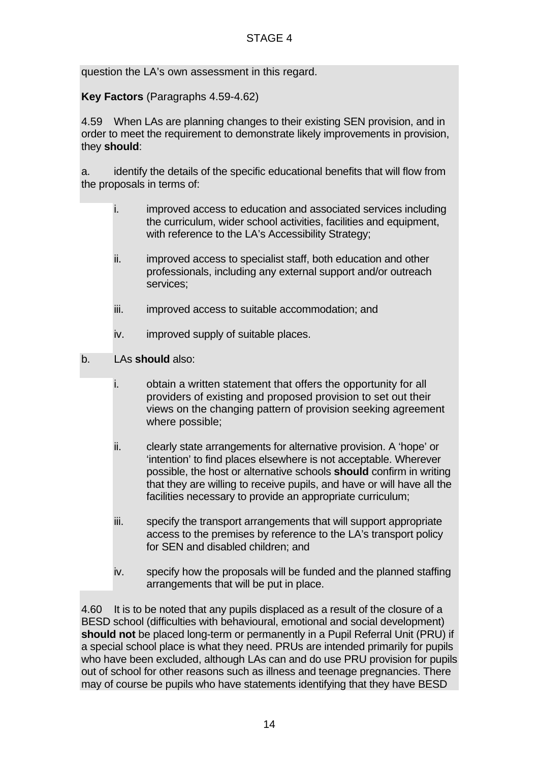question the LA's own assessment in this regard.

**Key Factors** (Paragraphs 4.59-4.62)

4.59 When LAs are planning changes to their existing SEN provision, and in order to meet the requirement to demonstrate likely improvements in provision, they **should**:

a. identify the details of the specific educational benefits that will flow from the proposals in terms of:

- i. improved access to education and associated services including the curriculum, wider school activities, facilities and equipment, with reference to the LA's Accessibility Strategy;
- ii. improved access to specialist staff, both education and other professionals, including any external support and/or outreach services;
- iii. improved access to suitable accommodation; and
- iv. improved supply of suitable places.
- b. LAs **should** also:
	- i. obtain a written statement that offers the opportunity for all providers of existing and proposed provision to set out their views on the changing pattern of provision seeking agreement where possible;
	- ii. clearly state arrangements for alternative provision. A 'hope' or 'intention' to find places elsewhere is not acceptable. Wherever possible, the host or alternative schools **should** confirm in writing that they are willing to receive pupils, and have or will have all the facilities necessary to provide an appropriate curriculum;
	- iii. specify the transport arrangements that will support appropriate access to the premises by reference to the LA's transport policy for SEN and disabled children; and
	- iv. specify how the proposals will be funded and the planned staffing arrangements that will be put in place.

4.60 It is to be noted that any pupils displaced as a result of the closure of a BESD school (difficulties with behavioural, emotional and social development) **should not** be placed long-term or permanently in a Pupil Referral Unit (PRU) if a special school place is what they need. PRUs are intended primarily for pupils who have been excluded, although LAs can and do use PRU provision for pupils out of school for other reasons such as illness and teenage pregnancies. There may of course be pupils who have statements identifying that they have BESD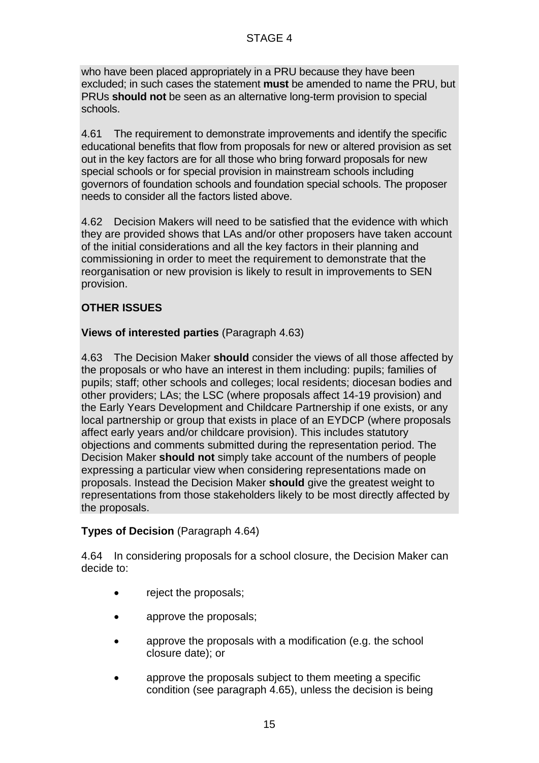who have been placed appropriately in a PRU because they have been excluded; in such cases the statement **must** be amended to name the PRU, but PRUs **should not** be seen as an alternative long-term provision to special schools.

4.61 The requirement to demonstrate improvements and identify the specific educational benefits that flow from proposals for new or altered provision as set out in the key factors are for all those who bring forward proposals for new special schools or for special provision in mainstream schools including governors of foundation schools and foundation special schools. The proposer needs to consider all the factors listed above.

4.62 Decision Makers will need to be satisfied that the evidence with which they are provided shows that LAs and/or other proposers have taken account of the initial considerations and all the key factors in their planning and commissioning in order to meet the requirement to demonstrate that the reorganisation or new provision is likely to result in improvements to SEN provision.

# **OTHER ISSUES**

## **Views of interested parties** (Paragraph 4.63)

4.63 The Decision Maker **should** consider the views of all those affected by the proposals or who have an interest in them including: pupils; families of pupils; staff; other schools and colleges; local residents; diocesan bodies and other providers; LAs; the LSC (where proposals affect 14-19 provision) and the Early Years Development and Childcare Partnership if one exists, or any local partnership or group that exists in place of an EYDCP (where proposals affect early years and/or childcare provision). This includes statutory objections and comments submitted during the representation period. The Decision Maker **should not** simply take account of the numbers of people expressing a particular view when considering representations made on proposals. Instead the Decision Maker **should** give the greatest weight to representations from those stakeholders likely to be most directly affected by the proposals.

## **Types of Decision** (Paragraph 4.64)

4.64 In considering proposals for a school closure, the Decision Maker can decide to:

- reject the proposals;
- approve the proposals;
- approve the proposals with a modification (e.g. the school closure date); or
- approve the proposals subject to them meeting a specific condition (see paragraph 4.65), unless the decision is being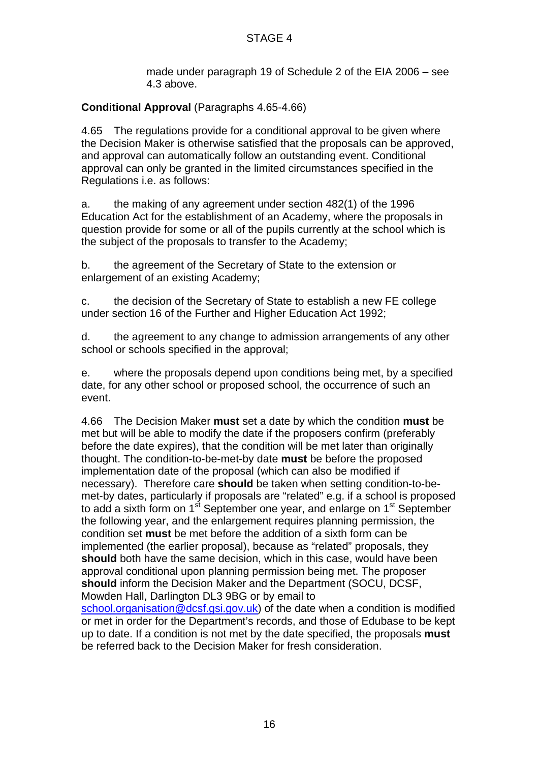made under paragraph 19 of Schedule 2 of the EIA 2006 – see 4.3 above.

## **Conditional Approval** (Paragraphs 4.65-4.66)

4.65 The regulations provide for a conditional approval to be given where the Decision Maker is otherwise satisfied that the proposals can be approved, and approval can automatically follow an outstanding event. Conditional approval can only be granted in the limited circumstances specified in the Regulations i.e. as follows:

a. the making of any agreement under section 482(1) of the 1996 Education Act for the establishment of an Academy, where the proposals in question provide for some or all of the pupils currently at the school which is the subject of the proposals to transfer to the Academy;

b. the agreement of the Secretary of State to the extension or enlargement of an existing Academy;

c. the decision of the Secretary of State to establish a new FE college under section 16 of the Further and Higher Education Act 1992;

d. the agreement to any change to admission arrangements of any other school or schools specified in the approval;

e. where the proposals depend upon conditions being met, by a specified date, for any other school or proposed school, the occurrence of such an event.

4.66 The Decision Maker **must** set a date by which the condition **must** be met but will be able to modify the date if the proposers confirm (preferably before the date expires), that the condition will be met later than originally thought. The condition-to-be-met-by date **must** be before the proposed implementation date of the proposal (which can also be modified if necessary). Therefore care **should** be taken when setting condition-to-bemet-by dates, particularly if proposals are "related" e.g. if a school is proposed to add a sixth form on  $1<sup>st</sup>$  September one year, and enlarge on  $1<sup>st</sup>$  September the following year, and the enlargement requires planning permission, the condition set **must** be met before the addition of a sixth form can be implemented (the earlier proposal), because as "related" proposals, they **should** both have the same decision, which in this case, would have been approval conditional upon planning permission being met. The proposer **should** inform the Decision Maker and the Department (SOCU, DCSF, Mowden Hall, Darlington DL3 9BG or by email to

school.organisation@dcsf.gsi.gov.uk) of the date when a condition is modified or met in order for the Department's records, and those of Edubase to be kept up to date. If a condition is not met by the date specified, the proposals **must** be referred back to the Decision Maker for fresh consideration.